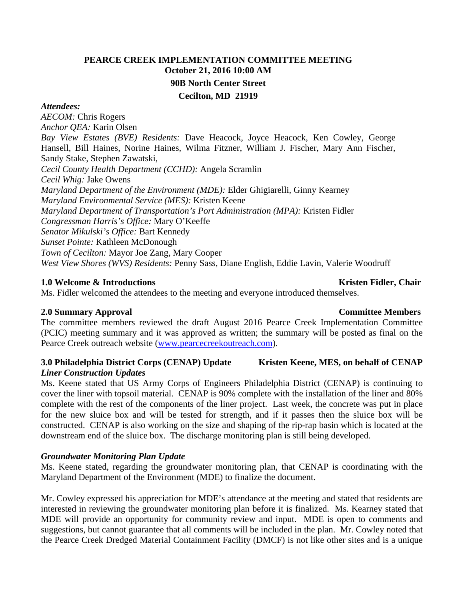# **PEARCE CREEK IMPLEMENTATION COMMITTEE MEETING October 21, 2016 10:00 AM 90B North Center Street Cecilton, MD 21919**

#### *Attendees:*

*AECOM:* Chris Rogers *Anchor QEA:* Karin Olsen *Bay View Estates (BVE) Residents:* Dave Heacock, Joyce Heacock, Ken Cowley, George Hansell, Bill Haines, Norine Haines, Wilma Fitzner, William J. Fischer, Mary Ann Fischer, Sandy Stake, Stephen Zawatski, *Cecil County Health Department (CCHD):* Angela Scramlin *Cecil Whig:* Jake Owens *Maryland Department of the Environment (MDE):* Elder Ghigiarelli, Ginny Kearney *Maryland Environmental Service (MES):* Kristen Keene *Maryland Department of Transportation's Port Administration (MPA):* Kristen Fidler *Congressman Harris's Office:* Mary O'Keeffe *Senator Mikulski's Office:* Bart Kennedy *Sunset Pointe:* Kathleen McDonough *Town of Cecilton:* Mayor Joe Zang, Mary Cooper *West View Shores (WVS) Residents:* Penny Sass, Diane English, Eddie Lavin, Valerie Woodruff

### **1.0** Welcome & Introductions **Kristen Fidler, Chair Kristen Fidler**, Chair

Ms. Fidler welcomed the attendees to the meeting and everyone introduced themselves.

### **2.0 Summary Approval Committee Members**

The committee members reviewed the draft August 2016 Pearce Creek Implementation Committee (PCIC) meeting summary and it was approved as written; the summary will be posted as final on the Pearce Creek outreach website (www.pearcecreekoutreach.com).

#### **3.0** Philadelphia District Corps (CENAP) Update Kristen Keene, MES, on behalf of CENAP *Liner Construction Updates*

Ms. Keene stated that US Army Corps of Engineers Philadelphia District (CENAP) is continuing to cover the liner with topsoil material. CENAP is 90% complete with the installation of the liner and 80% complete with the rest of the components of the liner project. Last week, the concrete was put in place for the new sluice box and will be tested for strength, and if it passes then the sluice box will be constructed. CENAP is also working on the size and shaping of the rip-rap basin which is located at the downstream end of the sluice box. The discharge monitoring plan is still being developed.

# *Groundwater Monitoring Plan Update*

Ms. Keene stated, regarding the groundwater monitoring plan, that CENAP is coordinating with the Maryland Department of the Environment (MDE) to finalize the document.

Mr. Cowley expressed his appreciation for MDE's attendance at the meeting and stated that residents are interested in reviewing the groundwater monitoring plan before it is finalized. Ms. Kearney stated that MDE will provide an opportunity for community review and input. MDE is open to comments and suggestions, but cannot guarantee that all comments will be included in the plan. Mr. Cowley noted that the Pearce Creek Dredged Material Containment Facility (DMCF) is not like other sites and is a unique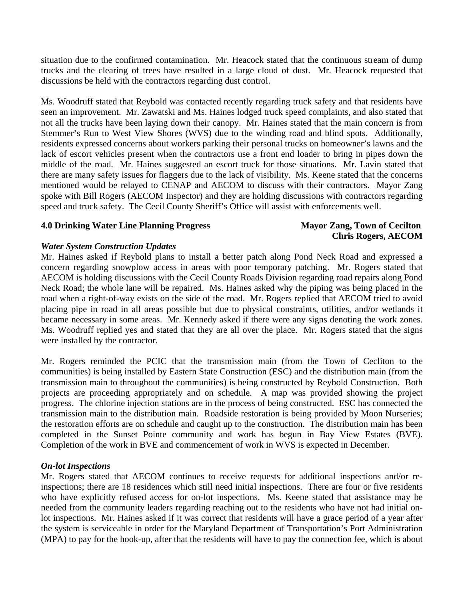situation due to the confirmed contamination. Mr. Heacock stated that the continuous stream of dump trucks and the clearing of trees have resulted in a large cloud of dust. Mr. Heacock requested that discussions be held with the contractors regarding dust control.

Ms. Woodruff stated that Reybold was contacted recently regarding truck safety and that residents have seen an improvement. Mr. Zawatski and Ms. Haines lodged truck speed complaints, and also stated that not all the trucks have been laying down their canopy. Mr. Haines stated that the main concern is from Stemmer's Run to West View Shores (WVS) due to the winding road and blind spots. Additionally, residents expressed concerns about workers parking their personal trucks on homeowner's lawns and the lack of escort vehicles present when the contractors use a front end loader to bring in pipes down the middle of the road. Mr. Haines suggested an escort truck for those situations. Mr. Lavin stated that there are many safety issues for flaggers due to the lack of visibility. Ms. Keene stated that the concerns mentioned would be relayed to CENAP and AECOM to discuss with their contractors. Mayor Zang spoke with Bill Rogers (AECOM Inspector) and they are holding discussions with contractors regarding speed and truck safety. The Cecil County Sheriff's Office will assist with enforcements well.

### **4.0 Drinking Water Line Planning Progress Mayor Zang, Town of Cecilton**

# **Chris Rogers, AECOM**

### *Water System Construction Updates*

Mr. Haines asked if Reybold plans to install a better patch along Pond Neck Road and expressed a concern regarding snowplow access in areas with poor temporary patching. Mr. Rogers stated that AECOM is holding discussions with the Cecil County Roads Division regarding road repairs along Pond Neck Road; the whole lane will be repaired. Ms. Haines asked why the piping was being placed in the road when a right-of-way exists on the side of the road. Mr. Rogers replied that AECOM tried to avoid placing pipe in road in all areas possible but due to physical constraints, utilities, and/or wetlands it became necessary in some areas. Mr. Kennedy asked if there were any signs denoting the work zones. Ms. Woodruff replied yes and stated that they are all over the place. Mr. Rogers stated that the signs were installed by the contractor.

Mr. Rogers reminded the PCIC that the transmission main (from the Town of Cecliton to the communities) is being installed by Eastern State Construction (ESC) and the distribution main (from the transmission main to throughout the communities) is being constructed by Reybold Construction. Both projects are proceeding appropriately and on schedule. A map was provided showing the project progress. The chlorine injection stations are in the process of being constructed. ESC has connected the transmission main to the distribution main. Roadside restoration is being provided by Moon Nurseries; the restoration efforts are on schedule and caught up to the construction. The distribution main has been completed in the Sunset Pointe community and work has begun in Bay View Estates (BVE). Completion of the work in BVE and commencement of work in WVS is expected in December.

# *On-lot Inspections*

Mr. Rogers stated that AECOM continues to receive requests for additional inspections and/or reinspections; there are 18 residences which still need initial inspections. There are four or five residents who have explicitly refused access for on-lot inspections. Ms. Keene stated that assistance may be needed from the community leaders regarding reaching out to the residents who have not had initial onlot inspections. Mr. Haines asked if it was correct that residents will have a grace period of a year after the system is serviceable in order for the Maryland Department of Transportation's Port Administration (MPA) to pay for the hook-up, after that the residents will have to pay the connection fee, which is about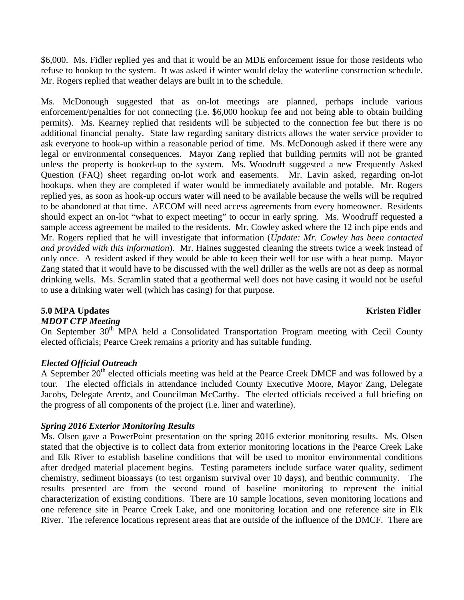\$6,000. Ms. Fidler replied yes and that it would be an MDE enforcement issue for those residents who refuse to hookup to the system. It was asked if winter would delay the waterline construction schedule. Mr. Rogers replied that weather delays are built in to the schedule.

Ms. McDonough suggested that as on-lot meetings are planned, perhaps include various enforcement/penalties for not connecting (i.e. \$6,000 hookup fee and not being able to obtain building permits). Ms. Kearney replied that residents will be subjected to the connection fee but there is no additional financial penalty. State law regarding sanitary districts allows the water service provider to ask everyone to hook-up within a reasonable period of time. Ms. McDonough asked if there were any legal or environmental consequences. Mayor Zang replied that building permits will not be granted unless the property is hooked-up to the system. Ms. Woodruff suggested a new Frequently Asked Question (FAQ) sheet regarding on-lot work and easements. Mr. Lavin asked, regarding on-lot hookups, when they are completed if water would be immediately available and potable. Mr. Rogers replied yes, as soon as hook-up occurs water will need to be available because the wells will be required to be abandoned at that time. AECOM will need access agreements from every homeowner. Residents should expect an on-lot "what to expect meeting" to occur in early spring. Ms. Woodruff requested a sample access agreement be mailed to the residents. Mr. Cowley asked where the 12 inch pipe ends and Mr. Rogers replied that he will investigate that information (*Update: Mr. Cowley has been contacted and provided with this information*). Mr. Haines suggested cleaning the streets twice a week instead of only once. A resident asked if they would be able to keep their well for use with a heat pump. Mayor Zang stated that it would have to be discussed with the well driller as the wells are not as deep as normal drinking wells. Ms. Scramlin stated that a geothermal well does not have casing it would not be useful to use a drinking water well (which has casing) for that purpose.

# **5.0 MPA Updates Kristen Fidler**

### *MDOT CTP Meeting*

On September  $30<sup>th</sup>$  MPA held a Consolidated Transportation Program meeting with Cecil County elected officials; Pearce Creek remains a priority and has suitable funding.

### *Elected Official Outreach*

A September 20<sup>th</sup> elected officials meeting was held at the Pearce Creek DMCF and was followed by a tour. The elected officials in attendance included County Executive Moore, Mayor Zang, Delegate Jacobs, Delegate Arentz, and Councilman McCarthy. The elected officials received a full briefing on the progress of all components of the project (i.e. liner and waterline).

### *Spring 2016 Exterior Monitoring Results*

Ms. Olsen gave a PowerPoint presentation on the spring 2016 exterior monitoring results. Ms. Olsen stated that the objective is to collect data from exterior monitoring locations in the Pearce Creek Lake and Elk River to establish baseline conditions that will be used to monitor environmental conditions after dredged material placement begins. Testing parameters include surface water quality, sediment chemistry, sediment bioassays (to test organism survival over 10 days), and benthic community. The results presented are from the second round of baseline monitoring to represent the initial characterization of existing conditions. There are 10 sample locations, seven monitoring locations and one reference site in Pearce Creek Lake, and one monitoring location and one reference site in Elk River. The reference locations represent areas that are outside of the influence of the DMCF. There are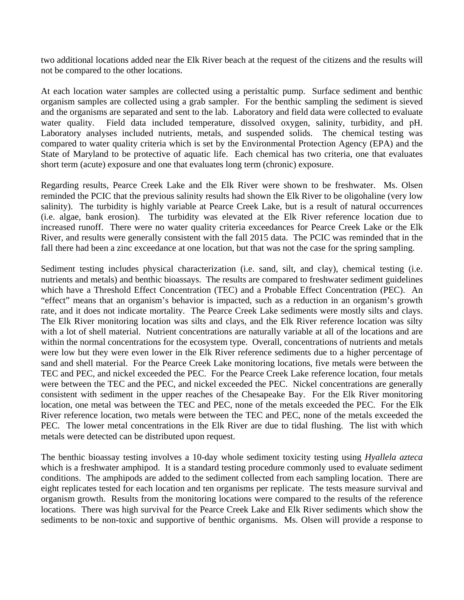two additional locations added near the Elk River beach at the request of the citizens and the results will not be compared to the other locations.

At each location water samples are collected using a peristaltic pump. Surface sediment and benthic organism samples are collected using a grab sampler. For the benthic sampling the sediment is sieved and the organisms are separated and sent to the lab. Laboratory and field data were collected to evaluate water quality. Field data included temperature, dissolved oxygen, salinity, turbidity, and pH. Laboratory analyses included nutrients, metals, and suspended solids. The chemical testing was compared to water quality criteria which is set by the Environmental Protection Agency (EPA) and the State of Maryland to be protective of aquatic life. Each chemical has two criteria, one that evaluates short term (acute) exposure and one that evaluates long term (chronic) exposure.

Regarding results, Pearce Creek Lake and the Elk River were shown to be freshwater. Ms. Olsen reminded the PCIC that the previous salinity results had shown the Elk River to be oligohaline (very low salinity). The turbidity is highly variable at Pearce Creek Lake, but is a result of natural occurrences (i.e. algae, bank erosion). The turbidity was elevated at the Elk River reference location due to increased runoff. There were no water quality criteria exceedances for Pearce Creek Lake or the Elk River, and results were generally consistent with the fall 2015 data. The PCIC was reminded that in the fall there had been a zinc exceedance at one location, but that was not the case for the spring sampling.

Sediment testing includes physical characterization (i.e. sand, silt, and clay), chemical testing (i.e. nutrients and metals) and benthic bioassays. The results are compared to freshwater sediment guidelines which have a Threshold Effect Concentration (TEC) and a Probable Effect Concentration (PEC). An "effect" means that an organism's behavior is impacted, such as a reduction in an organism's growth rate, and it does not indicate mortality. The Pearce Creek Lake sediments were mostly silts and clays. The Elk River monitoring location was silts and clays, and the Elk River reference location was silty with a lot of shell material. Nutrient concentrations are naturally variable at all of the locations and are within the normal concentrations for the ecosystem type. Overall, concentrations of nutrients and metals were low but they were even lower in the Elk River reference sediments due to a higher percentage of sand and shell material. For the Pearce Creek Lake monitoring locations, five metals were between the TEC and PEC, and nickel exceeded the PEC. For the Pearce Creek Lake reference location, four metals were between the TEC and the PEC, and nickel exceeded the PEC. Nickel concentrations are generally consistent with sediment in the upper reaches of the Chesapeake Bay. For the Elk River monitoring location, one metal was between the TEC and PEC, none of the metals exceeded the PEC. For the Elk River reference location, two metals were between the TEC and PEC, none of the metals exceeded the PEC. The lower metal concentrations in the Elk River are due to tidal flushing. The list with which metals were detected can be distributed upon request.

The benthic bioassay testing involves a 10-day whole sediment toxicity testing using *Hyallela azteca* which is a freshwater amphipod. It is a standard testing procedure commonly used to evaluate sediment conditions. The amphipods are added to the sediment collected from each sampling location. There are eight replicates tested for each location and ten organisms per replicate. The tests measure survival and organism growth. Results from the monitoring locations were compared to the results of the reference locations. There was high survival for the Pearce Creek Lake and Elk River sediments which show the sediments to be non-toxic and supportive of benthic organisms. Ms. Olsen will provide a response to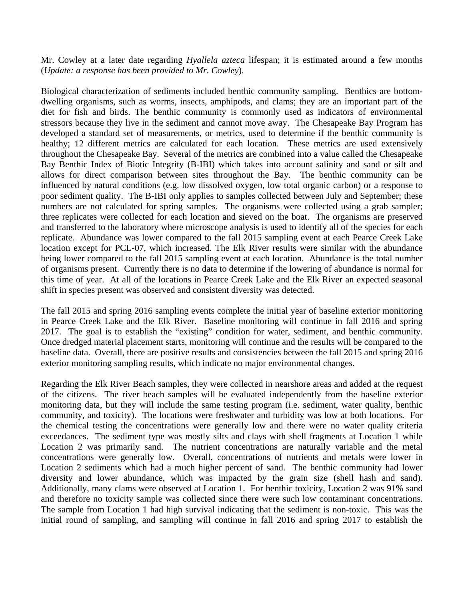Mr. Cowley at a later date regarding *Hyallela azteca* lifespan; it is estimated around a few months (*Update: a response has been provided to Mr. Cowley*).

Biological characterization of sediments included benthic community sampling. Benthics are bottomdwelling organisms, such as worms, insects, amphipods, and clams; they are an important part of the diet for fish and birds. The benthic community is commonly used as indicators of environmental stressors because they live in the sediment and cannot move away. The Chesapeake Bay Program has developed a standard set of measurements, or metrics, used to determine if the benthic community is healthy; 12 different metrics are calculated for each location. These metrics are used extensively throughout the Chesapeake Bay. Several of the metrics are combined into a value called the Chesapeake Bay Benthic Index of Biotic Integrity (B-IBI) which takes into account salinity and sand or silt and allows for direct comparison between sites throughout the Bay. The benthic community can be influenced by natural conditions (e.g. low dissolved oxygen, low total organic carbon) or a response to poor sediment quality. The B-IBI only applies to samples collected between July and September; these numbers are not calculated for spring samples. The organisms were collected using a grab sampler; three replicates were collected for each location and sieved on the boat. The organisms are preserved and transferred to the laboratory where microscope analysis is used to identify all of the species for each replicate. Abundance was lower compared to the fall 2015 sampling event at each Pearce Creek Lake location except for PCL-07, which increased. The Elk River results were similar with the abundance being lower compared to the fall 2015 sampling event at each location. Abundance is the total number of organisms present. Currently there is no data to determine if the lowering of abundance is normal for this time of year. At all of the locations in Pearce Creek Lake and the Elk River an expected seasonal shift in species present was observed and consistent diversity was detected.

The fall 2015 and spring 2016 sampling events complete the initial year of baseline exterior monitoring in Pearce Creek Lake and the Elk River. Baseline monitoring will continue in fall 2016 and spring 2017. The goal is to establish the "existing" condition for water, sediment, and benthic community. Once dredged material placement starts, monitoring will continue and the results will be compared to the baseline data. Overall, there are positive results and consistencies between the fall 2015 and spring 2016 exterior monitoring sampling results, which indicate no major environmental changes.

Regarding the Elk River Beach samples, they were collected in nearshore areas and added at the request of the citizens. The river beach samples will be evaluated independently from the baseline exterior monitoring data, but they will include the same testing program (i.e. sediment, water quality, benthic community, and toxicity). The locations were freshwater and turbidity was low at both locations. For the chemical testing the concentrations were generally low and there were no water quality criteria exceedances. The sediment type was mostly silts and clays with shell fragments at Location 1 while Location 2 was primarily sand. The nutrient concentrations are naturally variable and the metal concentrations were generally low. Overall, concentrations of nutrients and metals were lower in Location 2 sediments which had a much higher percent of sand. The benthic community had lower diversity and lower abundance, which was impacted by the grain size (shell hash and sand). Additionally, many clams were observed at Location 1. For benthic toxicity, Location 2 was 91% sand and therefore no toxicity sample was collected since there were such low contaminant concentrations. The sample from Location 1 had high survival indicating that the sediment is non-toxic. This was the initial round of sampling, and sampling will continue in fall 2016 and spring 2017 to establish the